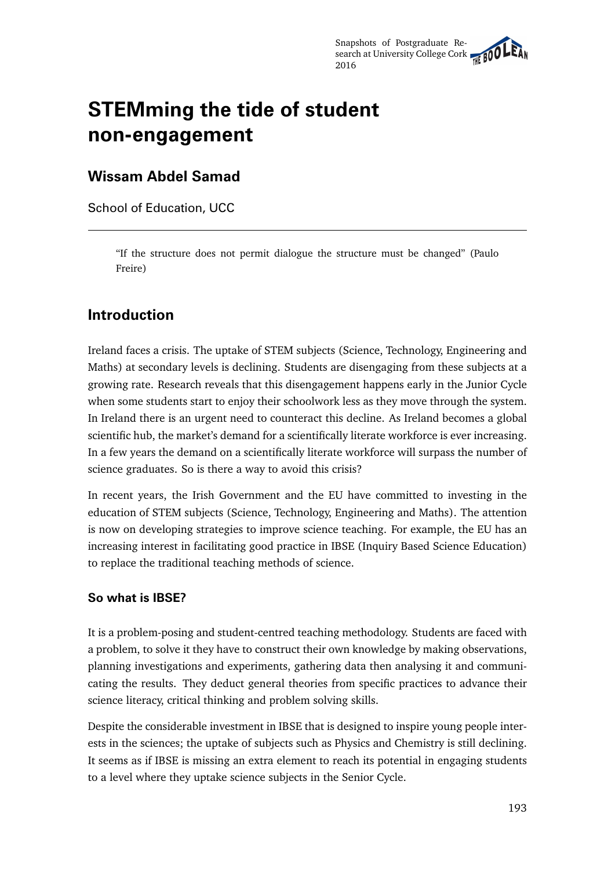# **STEMming the tide of student non-engagement**

## **Wissam Abdel Samad**

School of Education, UCC

"If the structure does not permit dialogue the structure must be changed" (Paulo Freire)

# **Introduction**

Ireland faces a crisis. The uptake of STEM subjects (Science, Technology, Engineering and Maths) at secondary levels is declining. Students are disengaging from these subjects at a growing rate. Research reveals that this disengagement happens early in the Junior Cycle when some students start to enjoy their schoolwork less as they move through the system. In Ireland there is an urgent need to counteract this decline. As Ireland becomes a global scientific hub, the market's demand for a scientifically literate workforce is ever increasing. In a few years the demand on a scientifically literate workforce will surpass the number of science graduates. So is there a way to avoid this crisis?

In recent years, the Irish Government and the EU have committed to investing in the education of STEM subjects (Science, Technology, Engineering and Maths). The attention is now on developing strategies to improve science teaching. For example, the EU has an increasing interest in facilitating good practice in IBSE (Inquiry Based Science Education) to replace the traditional teaching methods of science.

### **So what is IBSE?**

It is a problem-posing and student-centred teaching methodology. Students are faced with a problem, to solve it they have to construct their own knowledge by making observations, planning investigations and experiments, gathering data then analysing it and communicating the results. They deduct general theories from specific practices to advance their science literacy, critical thinking and problem solving skills.

Despite the considerable investment in IBSE that is designed to inspire young people interests in the sciences; the uptake of subjects such as Physics and Chemistry is still declining. It seems as if IBSE is missing an extra element to reach its potential in engaging students to a level where they uptake science subjects in the Senior Cycle.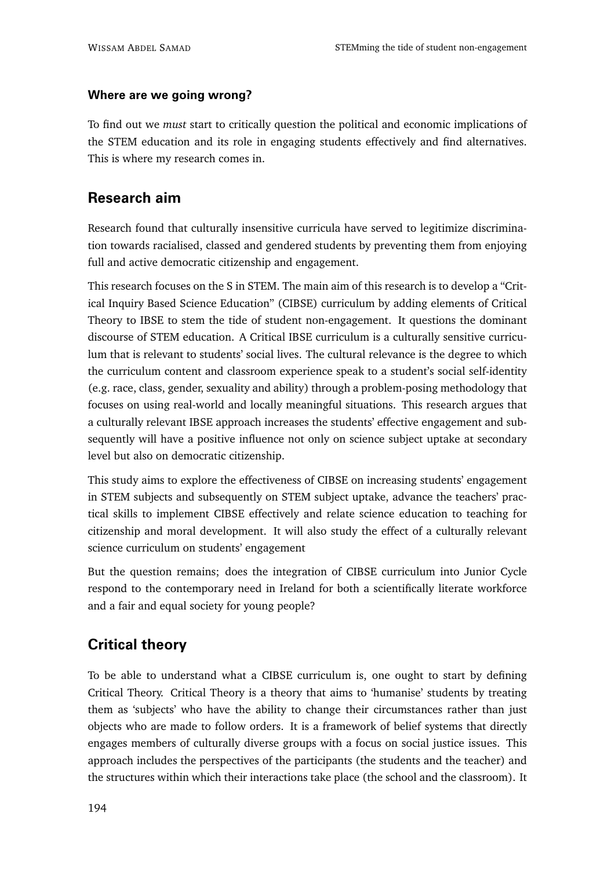### **Where are we going wrong?**

To find out we *must* start to critically question the political and economic implications of the STEM education and its role in engaging students effectively and find alternatives. This is where my research comes in.

# **Research aim**

Research found that culturally insensitive curricula have served to legitimize discrimination towards racialised, classed and gendered students by preventing them from enjoying full and active democratic citizenship and engagement.

This research focuses on the S in STEM. The main aim of this research is to develop a "Critical Inquiry Based Science Education" (CIBSE) curriculum by adding elements of Critical Theory to IBSE to stem the tide of student non-engagement. It questions the dominant discourse of STEM education. A Critical IBSE curriculum is a culturally sensitive curriculum that is relevant to students' social lives. The cultural relevance is the degree to which the curriculum content and classroom experience speak to a student's social self-identity (e.g. race, class, gender, sexuality and ability) through a problem-posing methodology that focuses on using real-world and locally meaningful situations. This research argues that a culturally relevant IBSE approach increases the students' effective engagement and subsequently will have a positive influence not only on science subject uptake at secondary level but also on democratic citizenship.

This study aims to explore the effectiveness of CIBSE on increasing students' engagement in STEM subjects and subsequently on STEM subject uptake, advance the teachers' practical skills to implement CIBSE effectively and relate science education to teaching for citizenship and moral development. It will also study the effect of a culturally relevant science curriculum on students' engagement

But the question remains; does the integration of CIBSE curriculum into Junior Cycle respond to the contemporary need in Ireland for both a scientifically literate workforce and a fair and equal society for young people?

# **Critical theory**

To be able to understand what a CIBSE curriculum is, one ought to start by defining Critical Theory. Critical Theory is a theory that aims to 'humanise' students by treating them as 'subjects' who have the ability to change their circumstances rather than just objects who are made to follow orders. It is a framework of belief systems that directly engages members of culturally diverse groups with a focus on social justice issues. This approach includes the perspectives of the participants (the students and the teacher) and the structures within which their interactions take place (the school and the classroom). It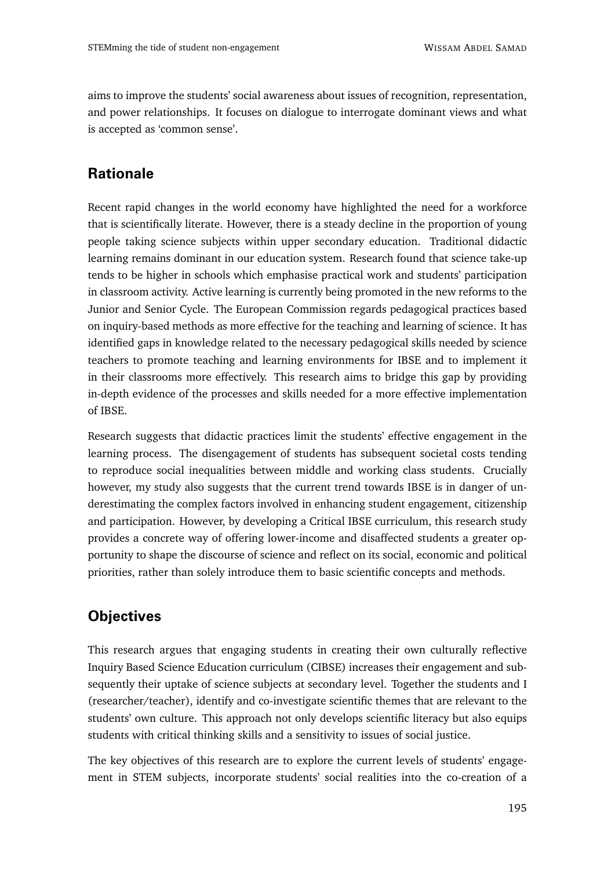aims to improve the students' social awareness about issues of recognition, representation, and power relationships. It focuses on dialogue to interrogate dominant views and what is accepted as 'common sense'.

# **Rationale**

Recent rapid changes in the world economy have highlighted the need for a workforce that is scientifically literate. However, there is a steady decline in the proportion of young people taking science subjects within upper secondary education. Traditional didactic learning remains dominant in our education system. Research found that science take-up tends to be higher in schools which emphasise practical work and students' participation in classroom activity. Active learning is currently being promoted in the new reforms to the Junior and Senior Cycle. The European Commission regards pedagogical practices based on inquiry-based methods as more effective for the teaching and learning of science. It has identified gaps in knowledge related to the necessary pedagogical skills needed by science teachers to promote teaching and learning environments for IBSE and to implement it in their classrooms more effectively. This research aims to bridge this gap by providing in-depth evidence of the processes and skills needed for a more effective implementation of IBSE.

Research suggests that didactic practices limit the students' effective engagement in the learning process. The disengagement of students has subsequent societal costs tending to reproduce social inequalities between middle and working class students. Crucially however, my study also suggests that the current trend towards IBSE is in danger of underestimating the complex factors involved in enhancing student engagement, citizenship and participation. However, by developing a Critical IBSE curriculum, this research study provides a concrete way of offering lower-income and disaffected students a greater opportunity to shape the discourse of science and reflect on its social, economic and political priorities, rather than solely introduce them to basic scientific concepts and methods.

# **Objectives**

This research argues that engaging students in creating their own culturally reflective Inquiry Based Science Education curriculum (CIBSE) increases their engagement and subsequently their uptake of science subjects at secondary level. Together the students and I (researcher/teacher), identify and co-investigate scientific themes that are relevant to the students' own culture. This approach not only develops scientific literacy but also equips students with critical thinking skills and a sensitivity to issues of social justice.

The key objectives of this research are to explore the current levels of students' engagement in STEM subjects, incorporate students' social realities into the co-creation of a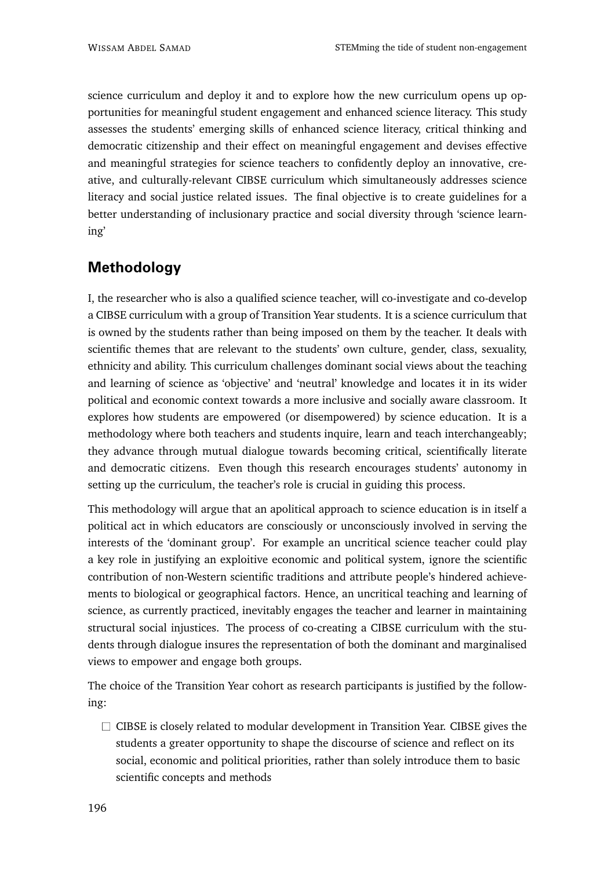science curriculum and deploy it and to explore how the new curriculum opens up opportunities for meaningful student engagement and enhanced science literacy. This study assesses the students' emerging skills of enhanced science literacy, critical thinking and democratic citizenship and their effect on meaningful engagement and devises effective and meaningful strategies for science teachers to confidently deploy an innovative, creative, and culturally-relevant CIBSE curriculum which simultaneously addresses science literacy and social justice related issues. The final objective is to create guidelines for a better understanding of inclusionary practice and social diversity through 'science learning'

# **Methodology**

I, the researcher who is also a qualified science teacher, will co-investigate and co-develop a CIBSE curriculum with a group of Transition Year students. It is a science curriculum that is owned by the students rather than being imposed on them by the teacher. It deals with scientific themes that are relevant to the students' own culture, gender, class, sexuality, ethnicity and ability. This curriculum challenges dominant social views about the teaching and learning of science as 'objective' and 'neutral' knowledge and locates it in its wider political and economic context towards a more inclusive and socially aware classroom. It explores how students are empowered (or disempowered) by science education. It is a methodology where both teachers and students inquire, learn and teach interchangeably; they advance through mutual dialogue towards becoming critical, scientifically literate and democratic citizens. Even though this research encourages students' autonomy in setting up the curriculum, the teacher's role is crucial in guiding this process.

This methodology will argue that an apolitical approach to science education is in itself a political act in which educators are consciously or unconsciously involved in serving the interests of the 'dominant group'. For example an uncritical science teacher could play a key role in justifying an exploitive economic and political system, ignore the scientific contribution of non-Western scientific traditions and attribute people's hindered achievements to biological or geographical factors. Hence, an uncritical teaching and learning of science, as currently practiced, inevitably engages the teacher and learner in maintaining structural social injustices. The process of co-creating a CIBSE curriculum with the students through dialogue insures the representation of both the dominant and marginalised views to empower and engage both groups.

The choice of the Transition Year cohort as research participants is justified by the following:

 $\Box$  CIBSE is closely related to modular development in Transition Year. CIBSE gives the students a greater opportunity to shape the discourse of science and reflect on its social, economic and political priorities, rather than solely introduce them to basic scientific concepts and methods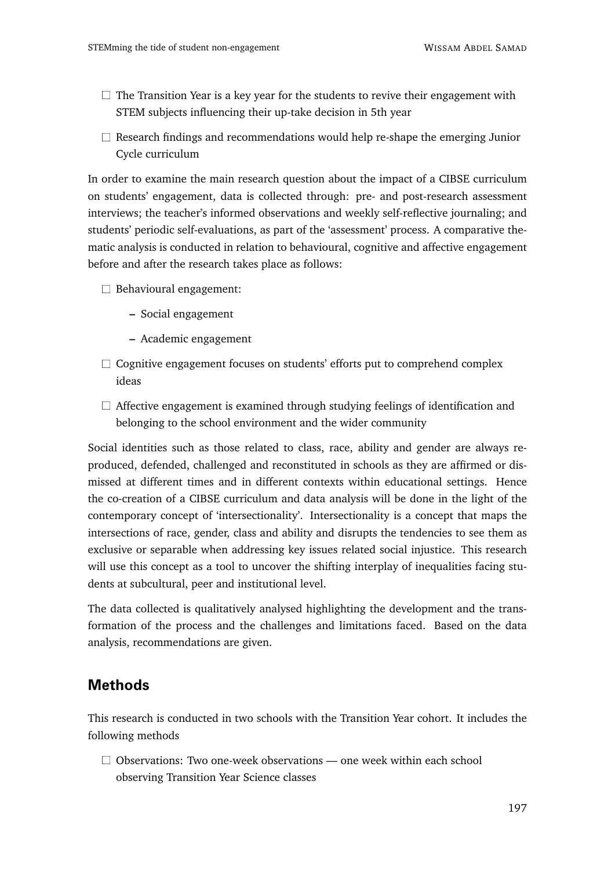- $\Box$  The Transition Year is a key year for the students to revive their engagement with STEM subjects influencing their up-take decision in 5th year
- $\Box$  Research findings and recommendations would help re-shape the emerging Junior Cycle curriculum

In order to examine the main research question about the impact of a CIBSE curriculum on students' engagement, data is collected through: pre- and post-research assessment interviews; the teacher's informed observations and weekly self-reflective journaling; and students' periodic self-evaluations, as part of the 'assessment' process. A comparative thematic analysis is conducted in relation to behavioural, cognitive and affective engagement before and after the research takes place as follows:

- $\Box$  Behavioural engagement:
	- **–** Social engagement
	- **–** Academic engagement
- $\Box$  Cognitive engagement focuses on students' efforts put to comprehend complex ideas
- $\Box$  Affective engagement is examined through studying feelings of identification and belonging to the school environment and the wider community

Social identities such as those related to class, race, ability and gender are always reproduced, defended, challenged and reconstituted in schools as they are affirmed or dismissed at different times and in different contexts within educational settings. Hence the co-creation of a CIBSE curriculum and data analysis will be done in the light of the contemporary concept of 'intersectionality'. Intersectionality is a concept that maps the intersections of race, gender, class and ability and disrupts the tendencies to see them as exclusive or separable when addressing key issues related social injustice. This research will use this concept as a tool to uncover the shifting interplay of inequalities facing students at subcultural, peer and institutional level.

The data collected is qualitatively analysed highlighting the development and the transformation of the process and the challenges and limitations faced. Based on the data analysis, recommendations are given.

### **Methods**

This research is conducted in two schools with the Transition Year cohort. It includes the following methods

 $\Box$  Observations: Two one-week observations — one week within each school observing Transition Year Science classes